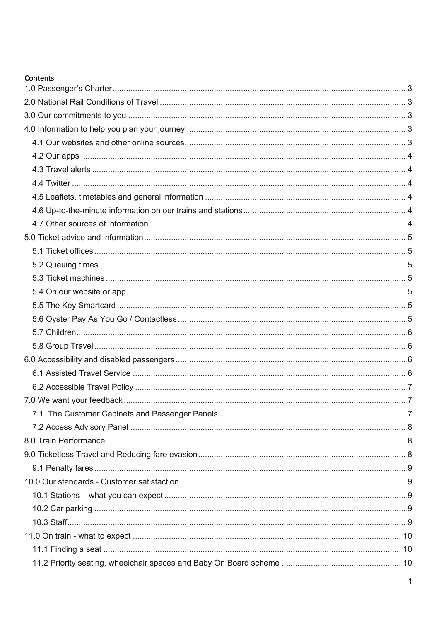#### Contents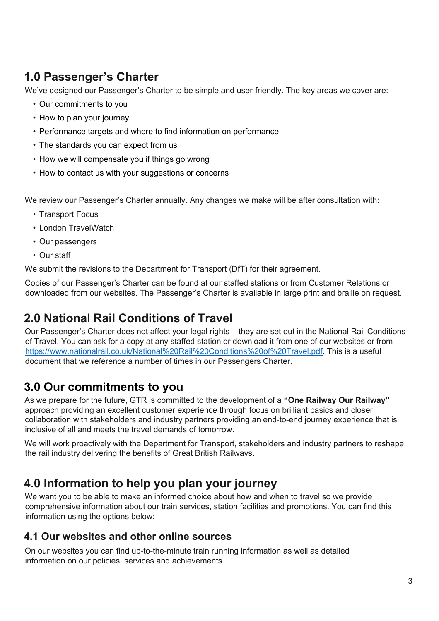# **1.0 Passenger's Charter**

We've designed our Passenger's Charter to be simple and user-friendly. The key areas we cover are:

- Our commitments to you
- How to plan your journey
- Performance targets and where to find information on performance
- The standards you can expect from us
- How we will compensate you if things go wrong
- How to contact us with your suggestions or concerns

We review our Passenger's Charter annually. Any changes we make will be after consultation with:

- Transport Focus
- London TravelWatch
- Our passengers
- Our staff

We submit the revisions to the Department for Transport (DfT) for their agreement.

Copies of our Passenger's Charter can be found at our staffed stations or from Customer Relations or downloaded from our websites. The Passenger's Charter is available in large print and braille on request.

# **2.0 National Rail Conditions of Travel**

Our Passenger's Charter does not affect your legal rights – they are set out in the National Rail Conditions of Travel. You can ask for a copy at any staffed station or download it from one of our websites or from https://www.nationalrail.co.uk/National%20Rail%20Conditions%20of%20Travel.pdf. This is a useful document that we reference a number of times in our Passengers Charter.

## **3.0 Our commitments to you**

As we prepare for the future, GTR is committed to the development of a **"One Railway Our Railway"** approach providing an excellent customer experience through focus on brilliant basics and closer collaboration with stakeholders and industry partners providing an end-to-end journey experience that is inclusive of all and meets the travel demands of tomorrow.

We will work proactively with the Department for Transport, stakeholders and industry partners to reshape the rail industry delivering the benefits of Great British Railways.

## **4.0 Information to help you plan your journey**

We want you to be able to make an informed choice about how and when to travel so we provide comprehensive information about our train services, station facilities and promotions. You can find this information using the options below:

#### **4.1 Our websites and other online sources**

On our websites you can find up-to-the-minute train running information as well as detailed information on our policies, services and achievements.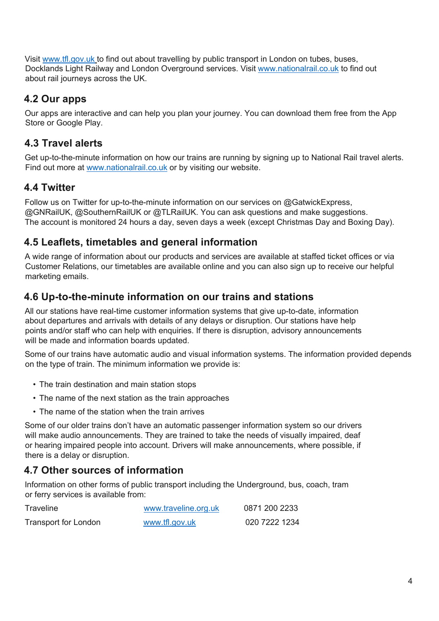Visit www.tfl.gov.uk to find out about travelling by public transport in London on tubes, buses, Docklands Light Railway and London Overground services. Visit www.nationalrail.co.uk to find out about rail journeys across the UK.

### **4.2 Our apps**

Our apps are interactive and can help you plan your journey. You can download them free from the App Store or Google Play.

### **4.3 Travel alerts**

Get up-to-the-minute information on how our trains are running by signing up to National Rail travel alerts. Find out more at www.nationalrail.co.uk or by visiting our website.

## **4.4 Twitter**

Follow us on Twitter for up-to-the-minute information on our services on @GatwickExpress, @GNRailUK, @SouthernRailUK or @TLRailUK. You can ask questions and make suggestions. The account is monitored 24 hours a day, seven days a week (except Christmas Day and Boxing Day).

#### **4.5 Leaflets, timetables and general information**

A wide range of information about our products and services are available at staffed ticket offices or via Customer Relations, our timetables are available online and you can also sign up to receive our helpful marketing emails.

#### **4.6 Up-to-the-minute information on our trains and stations**

All our stations have real-time customer information systems that give up-to-date, information about departures and arrivals with details of any delays or disruption. Our stations have help points and/or staff who can help with enquiries. If there is disruption, advisory announcements will be made and information boards updated.

Some of our trains have automatic audio and visual information systems. The information provided depends on the type of train. The minimum information we provide is:

- The train destination and main station stops
- The name of the next station as the train approaches
- The name of the station when the train arrives

Some of our older trains don't have an automatic passenger information system so our drivers will make audio announcements. They are trained to take the needs of visually impaired, deaf or hearing impaired people into account. Drivers will make announcements, where possible, if there is a delay or disruption.

## **4.7 Other sources of information**

Information on other forms of public transport including the Underground, bus, coach, tram or ferry services is available from:

| Traveline                   | www.traveline.org.uk | 0871 200 2233 |
|-----------------------------|----------------------|---------------|
| <b>Transport for London</b> | www.tfl.gov.uk       | 020 7222 1234 |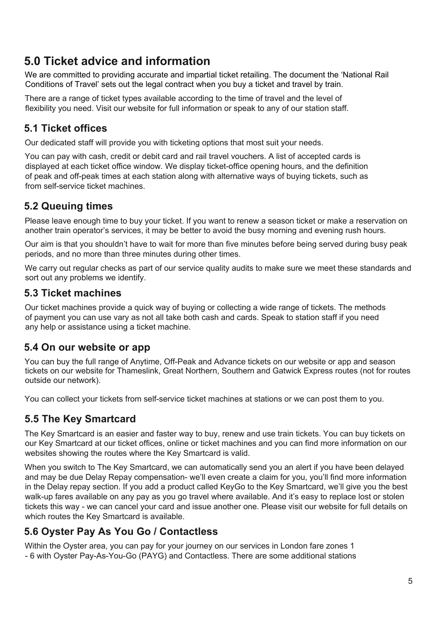# **5.0 Ticket advice and information**

We are committed to providing accurate and impartial ticket retailing. The document the 'National Rail Conditions of Travel' sets out the legal contract when you buy a ticket and travel by train.

There are a range of ticket types available according to the time of travel and the level of flexibility you need. Visit our website for full information or speak to any of our station staff.

## **5.1 Ticket offices**

Our dedicated staff will provide you with ticketing options that most suit your needs.

You can pay with cash, credit or debit card and rail travel vouchers. A list of accepted cards is displayed at each ticket office window. We display ticket-office opening hours, and the definition of peak and off-peak times at each station along with alternative ways of buying tickets, such as from self-service ticket machines.

#### **5.2 Queuing times**

Please leave enough time to buy your ticket. If you want to renew a season ticket or make a reservation on another train operator's services, it may be better to avoid the busy morning and evening rush hours.

Our aim is that you shouldn't have to wait for more than five minutes before being served during busy peak periods, and no more than three minutes during other times.

We carry out regular checks as part of our service quality audits to make sure we meet these standards and sort out any problems we identify.

#### **5.3 Ticket machines**

Our ticket machines provide a quick way of buying or collecting a wide range of tickets. The methods of payment you can use vary as not all take both cash and cards. Speak to station staff if you need any help or assistance using a ticket machine.

#### **5.4 On our website or app**

You can buy the full range of Anytime, Off-Peak and Advance tickets on our website or app and season tickets on our website for Thameslink, Great Northern, Southern and Gatwick Express routes (not for routes outside our network).

You can collect your tickets from self-service ticket machines at stations or we can post them to you.

## **5.5 The Key Smartcard**

The Key Smartcard is an easier and faster way to buy, renew and use train tickets. You can buy tickets on our Key Smartcard at our ticket offices, online or ticket machines and you can find more information on our websites showing the routes where the Key Smartcard is valid.

When you switch to The Key Smartcard, we can automatically send you an alert if you have been delayed and may be due Delay Repay compensation- we'll even create a claim for you, you'll find more information in the Delay repay section. If you add a product called KeyGo to the Key Smartcard, we'll give you the best walk-up fares available on any pay as you go travel where available. And it's easy to replace lost or stolen tickets this way - we can cancel your card and issue another one. Please visit our website for full details on which routes the Key Smartcard is available.

## **5.6 Oyster Pay As You Go / Contactless**

Within the Oyster area, you can pay for your journey on our services in London fare zones 1 - 6 with Oyster Pay-As-You-Go (PAYG) and Contactless. There are some additional stations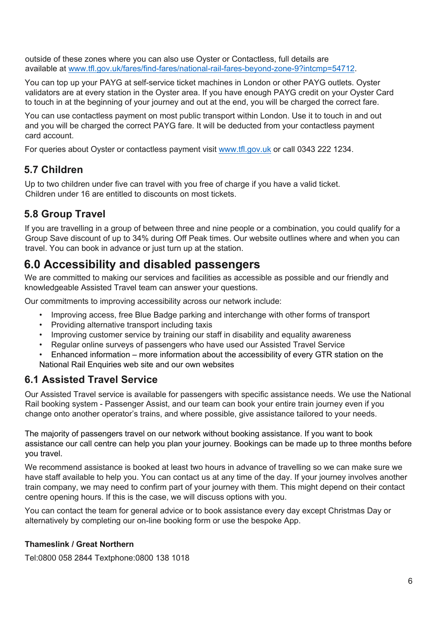outside of these zones where you can also use Oyster or Contactless, full details are available at www.tfl.gov.uk/fares/find-fares/national-rail-fares-beyond-zone-9?intcmp=54712.

You can top up your PAYG at self-service ticket machines in London or other PAYG outlets. Oyster validators are at every station in the Oyster area. If you have enough PAYG credit on your Oyster Card to touch in at the beginning of your journey and out at the end, you will be charged the correct fare.

You can use contactless payment on most public transport within London. Use it to touch in and out and you will be charged the correct PAYG fare. It will be deducted from your contactless payment card account.

For queries about Oyster or contactless payment visit www.tfl.gov.uk or call 0343 222 1234.

### **5.7 Children**

Up to two children under five can travel with you free of charge if you have a valid ticket. Children under 16 are entitled to discounts on most tickets.

## **5.8 Group Travel**

If you are travelling in a group of between three and nine people or a combination, you could qualify for a Group Save discount of up to 34% during Off Peak times. Our website outlines where and when you can travel. You can book in advance or just turn up at the station.

# **6.0 Accessibility and disabled passengers**

We are committed to making our services and facilities as accessible as possible and our friendly and knowledgeable Assisted Travel team can answer your questions.

Our commitments to improving accessibility across our network include:

- Improving access, free Blue Badge parking and interchange with other forms of transport
- Providing alternative transport including taxis
- Improving customer service by training our staff in disability and equality awareness
- Regular online surveys of passengers who have used our Assisted Travel Service
- Enhanced information more information about the accessibility of every GTR station on the National Rail Enquiries web site and our own websites

## **6.1 Assisted Travel Service**

Our Assisted Travel service is available for passengers with specific assistance needs. We use the National Rail booking system - Passenger Assist, and our team can book your entire train journey even if you change onto another operator's trains, and where possible, give assistance tailored to your needs.

The majority of passengers travel on our network without booking assistance. If you want to book assistance our call centre can help you plan your journey. Bookings can be made up to three months before you travel.

We recommend assistance is booked at least two hours in advance of travelling so we can make sure we have staff available to help you. You can contact us at any time of the day. If your journey involves another train company, we may need to confirm part of your journey with them. This might depend on their contact centre opening hours. If this is the case, we will discuss options with you.

You can contact the team for general advice or to book assistance every day except Christmas Day or alternatively by completing our on-line booking form or use the bespoke App.

#### **Thameslink / Great Northern**

Tel:0800 058 2844 Textphone:0800 138 1018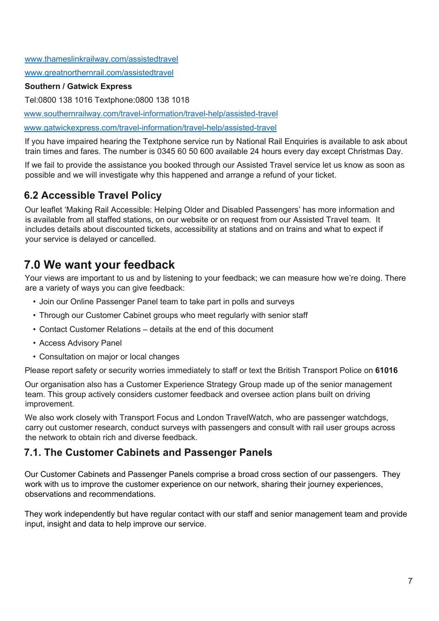www.thameslinkrailway.com/assistedtravel

www.greatnorthernrail.com/assistedtravel

#### **Southern / Gatwick Express**

Tel:0800 138 1016 Textphone:0800 138 1018

www.southernrailway.com/travel-information/travel-help/assisted-travel

www.gatwickexpress.com/travel-information/travel-help/assisted-travel

If you have impaired hearing the Textphone service run by National Rail Enquiries is available to ask about train times and fares. The number is 0345 60 50 600 available 24 hours every day except Christmas Day.

If we fail to provide the assistance you booked through our Assisted Travel service let us know as soon as possible and we will investigate why this happened and arrange a refund of your ticket.

## **6.2 Accessible Travel Policy**

Our leaflet 'Making Rail Accessible: Helping Older and Disabled Passengers' has more information and is available from all staffed stations, on our website or on request from our Assisted Travel team. It includes details about discounted tickets, accessibility at stations and on trains and what to expect if your service is delayed or cancelled.

## **7.0 We want your feedback**

Your views are important to us and by listening to your feedback; we can measure how we're doing. There are a variety of ways you can give feedback:

- Join our Online Passenger Panel team to take part in polls and surveys
- Through our Customer Cabinet groups who meet regularly with senior staff
- Contact Customer Relations details at the end of this document
- Access Advisory Panel
- Consultation on major or local changes

Please report safety or security worries immediately to staff or text the British Transport Police on **61016**

Our organisation also has a Customer Experience Strategy Group made up of the senior management team. This group actively considers customer feedback and oversee action plans built on driving improvement.

We also work closely with Transport Focus and London TravelWatch, who are passenger watchdogs, carry out customer research, conduct surveys with passengers and consult with rail user groups across the network to obtain rich and diverse feedback.

#### **7.1. The Customer Cabinets and Passenger Panels**

Our Customer Cabinets and Passenger Panels comprise a broad cross section of our passengers. They work with us to improve the customer experience on our network, sharing their journey experiences, observations and recommendations.

They work independently but have regular contact with our staff and senior management team and provide input, insight and data to help improve our service.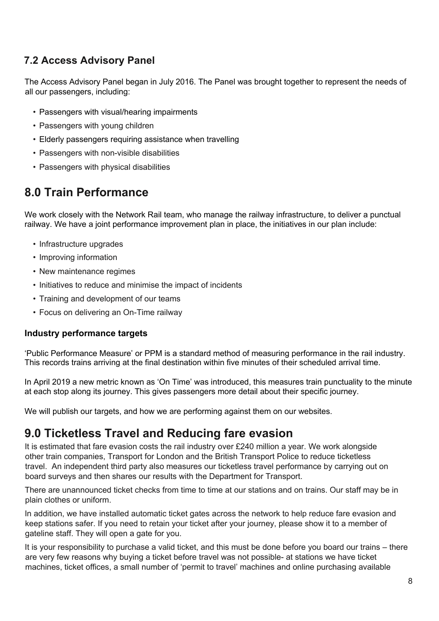## **7.2 Access Advisory Panel**

The Access Advisory Panel began in July 2016. The Panel was brought together to represent the needs of all our passengers, including:

- Passengers with visual/hearing impairments
- Passengers with young children
- Elderly passengers requiring assistance when travelling
- Passengers with non-visible disabilities
- Passengers with physical disabilities

## **8.0 Train Performance**

We work closely with the Network Rail team, who manage the railway infrastructure, to deliver a punctual railway. We have a joint performance improvement plan in place, the initiatives in our plan include:

- Infrastructure upgrades
- Improving information
- New maintenance regimes
- Initiatives to reduce and minimise the impact of incidents
- Training and development of our teams
- Focus on delivering an On-Time railway

#### **Industry performance targets**

'Public Performance Measure' or PPM is a standard method of measuring performance in the rail industry. This records trains arriving at the final destination within five minutes of their scheduled arrival time.

In April 2019 a new metric known as 'On Time' was introduced, this measures train punctuality to the minute at each stop along its journey. This gives passengers more detail about their specific journey.

We will publish our targets, and how we are performing against them on our websites.

## **9.0 Ticketless Travel and Reducing fare evasion**

It is estimated that fare evasion costs the rail industry over £240 million a year. We work alongside other train companies, Transport for London and the British Transport Police to reduce ticketless travel. An independent third party also measures our ticketless travel performance by carrying out on board surveys and then shares our results with the Department for Transport.

There are unannounced ticket checks from time to time at our stations and on trains. Our staff may be in plain clothes or uniform.

In addition, we have installed automatic ticket gates across the network to help reduce fare evasion and keep stations safer. If you need to retain your ticket after your journey, please show it to a member of gateline staff. They will open a gate for you.

It is your responsibility to purchase a valid ticket, and this must be done before you board our trains – there are very few reasons why buying a ticket before travel was not possible- at stations we have ticket machines, ticket offices, a small number of 'permit to travel' machines and online purchasing available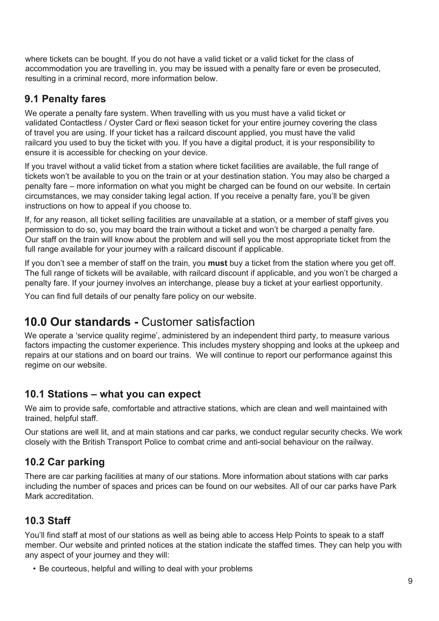where tickets can be bought. If you do not have a valid ticket or a valid ticket for the class of accommodation you are travelling in, you may be issued with a penalty fare or even be prosecuted, resulting in a criminal record, more information below.

### **9.1 Penalty fares**

We operate a penalty fare system. When travelling with us you must have a valid ticket or validated Contactless / Oyster Card or flexi season ticket for your entire journey covering the class of travel you are using. If your ticket has a railcard discount applied, you must have the valid railcard you used to buy the ticket with you. If you have a digital product, it is your responsibility to ensure it is accessible for checking on your device.

If you travel without a valid ticket from a station where ticket facilities are available, the full range of tickets won't be available to you on the train or at your destination station. You may also be charged a penalty fare – more information on what you might be charged can be found on our website. In certain circumstances, we may consider taking legal action. If you receive a penalty fare, you'll be given instructions on how to appeal if you choose to.

If, for any reason, all ticket selling facilities are unavailable at a station, or a member of staff gives you permission to do so, you may board the train without a ticket and won't be charged a penalty fare. Our staff on the train will know about the problem and will sell you the most appropriate ticket from the full range available for your journey with a railcard discount if applicable.

If you don't see a member of staff on the train, you **must** buy a ticket from the station where you get off. The full range of tickets will be available, with railcard discount if applicable, and you won't be charged a penalty fare. If your journey involves an interchange, please buy a ticket at your earliest opportunity.

You can find full details of our penalty fare policy on our website.

## **10.0 Our standards -** Customer satisfaction

We operate a 'service quality regime', administered by an independent third party, to measure various factors impacting the customer experience. This includes mystery shopping and looks at the upkeep and repairs at our stations and on board our trains. We will continue to report our performance against this regime on our website.

#### **10.1 Stations – what you can expect**

We aim to provide safe, comfortable and attractive stations, which are clean and well maintained with trained, helpful staff.

Our stations are well lit, and at main stations and car parks, we conduct regular security checks. We work closely with the British Transport Police to combat crime and anti-social behaviour on the railway.

## **10.2 Car parking**

There are car parking facilities at many of our stations. More information about stations with car parks including the number of spaces and prices can be found on our websites. All of our car parks have Park Mark accreditation.

## **10.3 Staff**

You'll find staff at most of our stations as well as being able to access Help Points to speak to a staff member. Our website and printed notices at the station indicate the staffed times. They can help you with any aspect of your journey and they will:

• Be courteous, helpful and willing to deal with your problems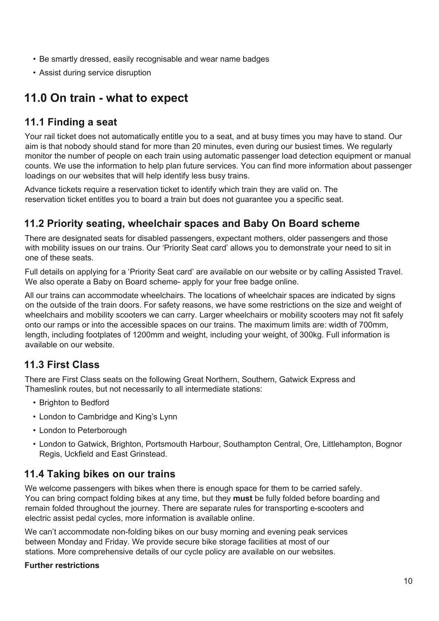- Be smartly dressed, easily recognisable and wear name badges
- Assist during service disruption

# **11.0 On train - what to expect**

#### **11.1 Finding a seat**

Your rail ticket does not automatically entitle you to a seat, and at busy times you may have to stand. Our aim is that nobody should stand for more than 20 minutes, even during our busiest times. We regularly monitor the number of people on each train using automatic passenger load detection equipment or manual counts. We use the information to help plan future services. You can find more information about passenger loadings on our websites that will help identify less busy trains.

Advance tickets require a reservation ticket to identify which train they are valid on. The reservation ticket entitles you to board a train but does not guarantee you a specific seat.

### **11.2 Priority seating, wheelchair spaces and Baby On Board scheme**

There are designated seats for disabled passengers, expectant mothers, older passengers and those with mobility issues on our trains. Our 'Priority Seat card' allows you to demonstrate your need to sit in one of these seats.

Full details on applying for a 'Priority Seat card' are available on our website or by calling Assisted Travel. We also operate a Baby on Board scheme- apply for your free badge online.

All our trains can accommodate wheelchairs. The locations of wheelchair spaces are indicated by signs on the outside of the train doors. For safety reasons, we have some restrictions on the size and weight of wheelchairs and mobility scooters we can carry. Larger wheelchairs or mobility scooters may not fit safely onto our ramps or into the accessible spaces on our trains. The maximum limits are: width of 700mm, length, including footplates of 1200mm and weight, including your weight, of 300kg. Full information is available on our website.

#### **11.3 First Class**

There are First Class seats on the following Great Northern, Southern, Gatwick Express and Thameslink routes, but not necessarily to all intermediate stations:

- Brighton to Bedford
- London to Cambridge and King's Lynn
- London to Peterborough
- London to Gatwick, Brighton, Portsmouth Harbour, Southampton Central, Ore, Littlehampton, Bognor Regis, Uckfield and East Grinstead.

#### **11.4 Taking bikes on our trains**

We welcome passengers with bikes when there is enough space for them to be carried safely. You can bring compact folding bikes at any time, but they **must** be fully folded before boarding and remain folded throughout the journey. There are separate rules for transporting e-scooters and electric assist pedal cycles, more information is available online.

We can't accommodate non-folding bikes on our busy morning and evening peak services between Monday and Friday. We provide secure bike storage facilities at most of our stations. More comprehensive details of our cycle policy are available on our websites.

#### **Further restrictions**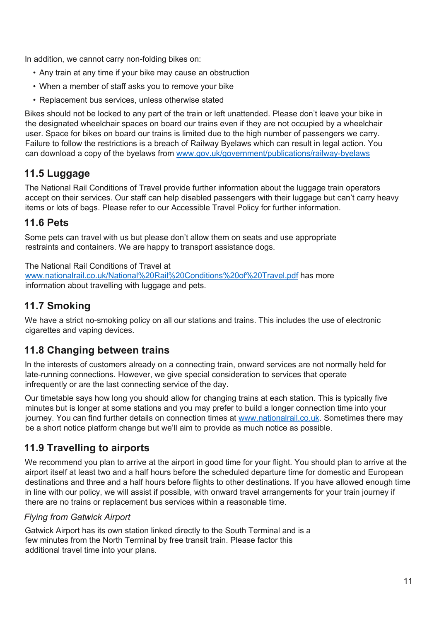In addition, we cannot carry non-folding bikes on:

- Any train at any time if your bike may cause an obstruction
- When a member of staff asks you to remove your bike
- Replacement bus services, unless otherwise stated

Bikes should not be locked to any part of the train or left unattended. Please don't leave your bike in the designated wheelchair spaces on board our trains even if they are not occupied by a wheelchair user. Space for bikes on board our trains is limited due to the high number of passengers we carry. Failure to follow the restrictions is a breach of Railway Byelaws which can result in legal action. You can download a copy of the byelaws from www.gov.uk/government/publications/railway-byelaws

#### **11.5 Luggage**

The National Rail Conditions of Travel provide further information about the luggage train operators accept on their services. Our staff can help disabled passengers with their luggage but can't carry heavy items or lots of bags. Please refer to our Accessible Travel Policy for further information.

#### **11.6 Pets**

Some pets can travel with us but please don't allow them on seats and use appropriate restraints and containers. We are happy to transport assistance dogs.

The National Rail Conditions of Travel at www.nationalrail.co.uk/National%20Rail%20Conditions%20of%20Travel.pdf has more information about travelling with luggage and pets.

## **11.7 Smoking**

We have a strict no-smoking policy on all our stations and trains. This includes the use of electronic cigarettes and vaping devices.

#### **11.8 Changing between trains**

In the interests of customers already on a connecting train, onward services are not normally held for late-running connections. However, we give special consideration to services that operate infrequently or are the last connecting service of the day.

Our timetable says how long you should allow for changing trains at each station. This is typically five minutes but is longer at some stations and you may prefer to build a longer connection time into your iournev. You can find further details on connection times at www.nationalrail.co.uk. Sometimes there may be a short notice platform change but we'll aim to provide as much notice as possible.

#### **11.9 Travelling to airports**

We recommend you plan to arrive at the airport in good time for your flight. You should plan to arrive at the airport itself at least two and a half hours before the scheduled departure time for domestic and European destinations and three and a half hours before flights to other destinations. If you have allowed enough time in line with our policy, we will assist if possible, with onward travel arrangements for your train journey if there are no trains or replacement bus services within a reasonable time.

#### *Flying from Gatwick Airport*

Gatwick Airport has its own station linked directly to the South Terminal and is a few minutes from the North Terminal by free transit train. Please factor this additional travel time into your plans.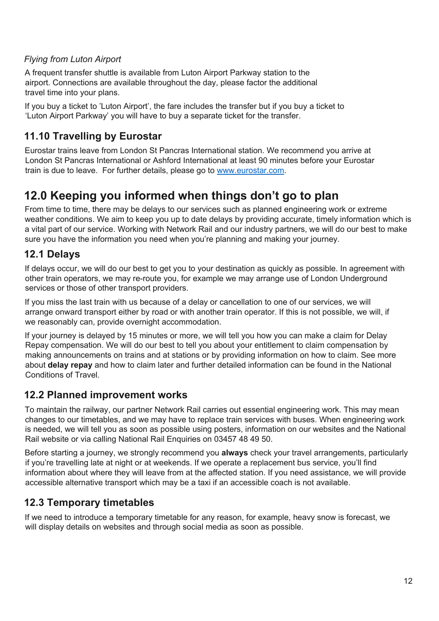#### *Flying from Luton Airport*

A frequent transfer shuttle is available from Luton Airport Parkway station to the airport. Connections are available throughout the day, please factor the additional travel time into your plans.

If you buy a ticket to 'Luton Airport', the fare includes the transfer but if you buy a ticket to 'Luton Airport Parkway' you will have to buy a separate ticket for the transfer.

### **11.10 Travelling by Eurostar**

Eurostar trains leave from London St Pancras International station. We recommend you arrive at London St Pancras International or Ashford International at least 90 minutes before your Eurostar train is due to leave. For further details, please go to www.eurostar.com.

# **12.0 Keeping you informed when things don't go to plan**

From time to time, there may be delays to our services such as planned engineering work or extreme weather conditions. We aim to keep you up to date delays by providing accurate, timely information which is a vital part of our service. Working with Network Rail and our industry partners, we will do our best to make sure you have the information you need when you're planning and making your journey.

### **12.1 Delays**

If delays occur, we will do our best to get you to your destination as quickly as possible. In agreement with other train operators, we may re-route you, for example we may arrange use of London Underground services or those of other transport providers.

If you miss the last train with us because of a delay or cancellation to one of our services, we will arrange onward transport either by road or with another train operator. If this is not possible, we will, if we reasonably can, provide overnight accommodation.

If your journey is delayed by 15 minutes or more, we will tell you how you can make a claim for Delay Repay compensation. We will do our best to tell you about your entitlement to claim compensation by making announcements on trains and at stations or by providing information on how to claim. See more about **delay repay** and how to claim later and further detailed information can be found in the National Conditions of Travel.

#### **12.2 Planned improvement works**

To maintain the railway, our partner Network Rail carries out essential engineering work. This may mean changes to our timetables, and we may have to replace train services with buses. When engineering work is needed, we will tell you as soon as possible using posters, information on our websites and the National Rail website or via calling National Rail Enquiries on 03457 48 49 50.

Before starting a journey, we strongly recommend you **always** check your travel arrangements, particularly if you're travelling late at night or at weekends. If we operate a replacement bus service, you'll find information about where they will leave from at the affected station. If you need assistance, we will provide accessible alternative transport which may be a taxi if an accessible coach is not available.

#### **12.3 Temporary timetables**

If we need to introduce a temporary timetable for any reason, for example, heavy snow is forecast, we will display details on websites and through social media as soon as possible.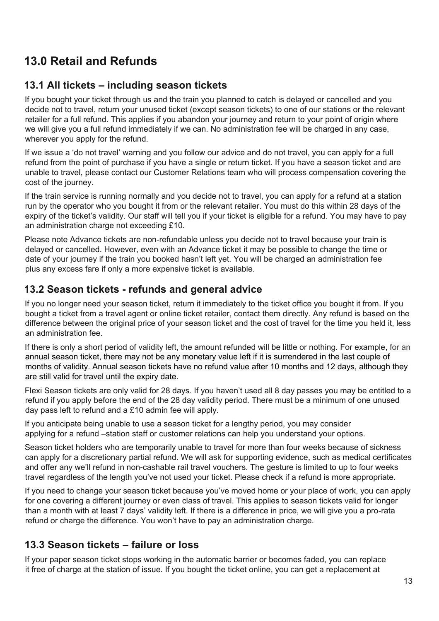# **13.0 Retail and Refunds**

### **13.1 All tickets – including season tickets**

If you bought your ticket through us and the train you planned to catch is delayed or cancelled and you decide not to travel, return your unused ticket (except season tickets) to one of our stations or the relevant retailer for a full refund. This applies if you abandon your journey and return to your point of origin where we will give you a full refund immediately if we can. No administration fee will be charged in any case, wherever you apply for the refund.

If we issue a 'do not travel' warning and you follow our advice and do not travel, you can apply for a full refund from the point of purchase if you have a single or return ticket. If you have a season ticket and are unable to travel, please contact our Customer Relations team who will process compensation covering the cost of the journey.

If the train service is running normally and you decide not to travel, you can apply for a refund at a station run by the operator who you bought it from or the relevant retailer. You must do this within 28 days of the expiry of the ticket's validity. Our staff will tell you if your ticket is eligible for a refund. You may have to pay an administration charge not exceeding £10.

Please note Advance tickets are non-refundable unless you decide not to travel because your train is delayed or cancelled. However, even with an Advance ticket it may be possible to change the time or date of your journey if the train you booked hasn't left yet. You will be charged an administration fee plus any excess fare if only a more expensive ticket is available.

#### **13.2 Season tickets - refunds and general advice**

If you no longer need your season ticket, return it immediately to the ticket office you bought it from. If you bought a ticket from a travel agent or online ticket retailer, contact them directly. Any refund is based on the difference between the original price of your season ticket and the cost of travel for the time you held it, less an administration fee.

If there is only a short period of validity left, the amount refunded will be little or nothing. For example, for an annual season ticket, there may not be any monetary value left if it is surrendered in the last couple of months of validity. Annual season tickets have no refund value after 10 months and 12 days, although they are still valid for travel until the expiry date.

Flexi Season tickets are only valid for 28 days. If you haven't used all 8 day passes you may be entitled to a refund if you apply before the end of the 28 day validity period. There must be a minimum of one unused day pass left to refund and a £10 admin fee will apply.

If you anticipate being unable to use a season ticket for a lengthy period, you may consider applying for a refund –station staff or customer relations can help you understand your options.

Season ticket holders who are temporarily unable to travel for more than four weeks because of sickness can apply for a discretionary partial refund. We will ask for supporting evidence, such as medical certificates and offer any we'll refund in non-cashable rail travel vouchers. The gesture is limited to up to four weeks travel regardless of the length you've not used your ticket. Please check if a refund is more appropriate.

If you need to change your season ticket because you've moved home or your place of work, you can apply for one covering a different journey or even class of travel. This applies to season tickets valid for longer than a month with at least 7 days' validity left. If there is a difference in price, we will give you a pro-rata refund or charge the difference. You won't have to pay an administration charge.

#### **13.3 Season tickets – failure or loss**

If your paper season ticket stops working in the automatic barrier or becomes faded, you can replace it free of charge at the station of issue. If you bought the ticket online, you can get a replacement at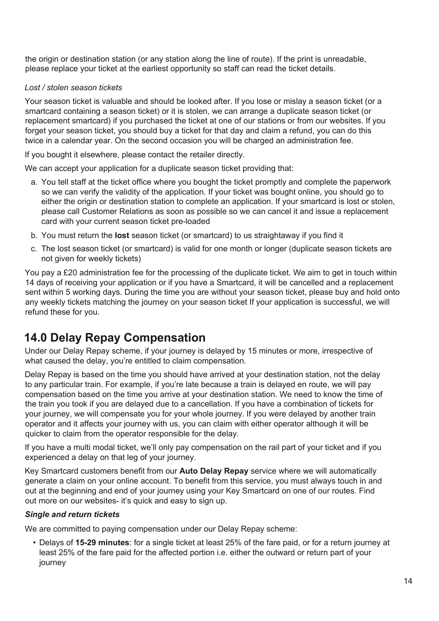the origin or destination station (or any station along the line of route). If the print is unreadable, please replace your ticket at the earliest opportunity so staff can read the ticket details.

#### *Lost / stolen season tickets*

Your season ticket is valuable and should be looked after. If you lose or mislay a season ticket (or a smartcard containing a season ticket) or it is stolen, we can arrange a duplicate season ticket (or replacement smartcard) if you purchased the ticket at one of our stations or from our websites. If you forget your season ticket, you should buy a ticket for that day and claim a refund, you can do this twice in a calendar year. On the second occasion you will be charged an administration fee.

If you bought it elsewhere, please contact the retailer directly.

We can accept your application for a duplicate season ticket providing that:

- a. You tell staff at the ticket office where you bought the ticket promptly and complete the paperwork so we can verify the validity of the application. If your ticket was bought online, you should go to either the origin or destination station to complete an application. If your smartcard is lost or stolen, please call Customer Relations as soon as possible so we can cancel it and issue a replacement card with your current season ticket pre-loaded
- b. You must return the **lost** season ticket (or smartcard) to us straightaway if you find it
- c. The lost season ticket (or smartcard) is valid for one month or longer (duplicate season tickets are not given for weekly tickets)

You pay a £20 administration fee for the processing of the duplicate ticket. We aim to get in touch within 14 days of receiving your application or if you have a Smartcard, it will be cancelled and a replacement sent within 5 working days. During the time you are without your season ticket, please buy and hold onto any weekly tickets matching the journey on your season ticket If your application is successful, we will refund these for you.

## **14.0 Delay Repay Compensation**

Under our Delay Repay scheme, if your journey is delayed by 15 minutes or more, irrespective of what caused the delay, you're entitled to claim compensation.

Delay Repay is based on the time you should have arrived at your destination station, not the delay to any particular train. For example, if you're late because a train is delayed en route, we will pay compensation based on the time you arrive at your destination station. We need to know the time of the train you took if you are delayed due to a cancellation. If you have a combination of tickets for your journey, we will compensate you for your whole journey. If you were delayed by another train operator and it affects your journey with us, you can claim with either operator although it will be quicker to claim from the operator responsible for the delay.

If you have a multi modal ticket, we'll only pay compensation on the rail part of your ticket and if you experienced a delay on that leg of your journey.

Key Smartcard customers benefit from our **Auto Delay Repay** service where we will automatically generate a claim on your online account. To benefit from this service, you must always touch in and out at the beginning and end of your journey using your Key Smartcard on one of our routes. Find out more on our websites- it's quick and easy to sign up.

#### *Single and return tickets*

We are committed to paying compensation under our Delay Repay scheme:

• Delays of **15-29 minutes**: for a single ticket at least 25% of the fare paid, or for a return journey at least 25% of the fare paid for the affected portion i.e. either the outward or return part of your journey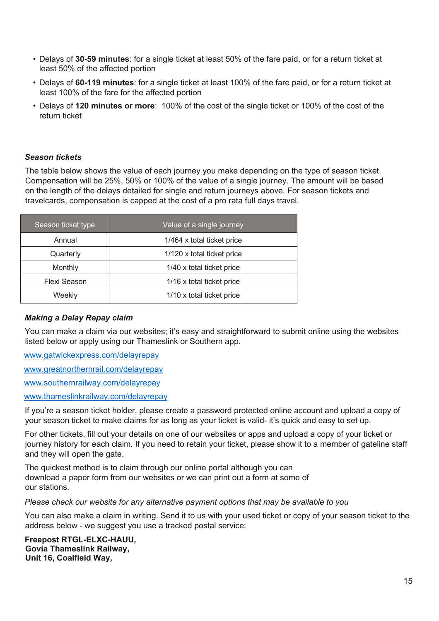- Delays of **30-59 minutes**: for a single ticket at least 50% of the fare paid, or for a return ticket at least 50% of the affected portion
- Delays of **60-119 minutes**: for a single ticket at least 100% of the fare paid, or for a return ticket at least 100% of the fare for the affected portion
- Delays of **120 minutes or more**: 100% of the cost of the single ticket or 100% of the cost of the return ticket

#### *Season tickets*

The table below shows the value of each journey you make depending on the type of season ticket. Compensation will be 25%, 50% or 100% of the value of a single journey. The amount will be based on the length of the delays detailed for single and return journeys above. For season tickets and travelcards, compensation is capped at the cost of a pro rata full days travel.

| Season ticket type | Value of a single journey  |
|--------------------|----------------------------|
| Annual             | 1/464 x total ticket price |
| Quarterly          | 1/120 x total ticket price |
| Monthly            | 1/40 x total ticket price  |
| Flexi Season       | 1/16 x total ticket price  |
| Weekly             | 1/10 x total ticket price  |

#### *Making a Delay Repay claim*

You can make a claim via our websites; it's easy and straightforward to submit online using the websites listed below or apply using our Thameslink or Southern app.

www.gatwickexpress.com/delayrepay

www.greatnorthernrail.com/delayrepay

www.southernrailway.com/delayrepay

www.thameslinkrailway.com/delayrepay

If you're a season ticket holder, please create a password protected online account and upload a copy of your season ticket to make claims for as long as your ticket is valid- it's quick and easy to set up.

For other tickets, fill out your details on one of our websites or apps and upload a copy of your ticket or journey history for each claim. If you need to retain your ticket, please show it to a member of gateline staff and they will open the gate.

The quickest method is to claim through our online portal although you can download a paper form from our websites or we can print out a form at some of our stations.

*Please check our website for any alternative payment options that may be available to you*

You can also make a claim in writing. Send it to us with your used ticket or copy of your season ticket to the address below - we suggest you use a tracked postal service:

**Freepost RTGL-ELXC-HAUU, Govia Thameslink Railway, Unit 16, Coalfield Way,**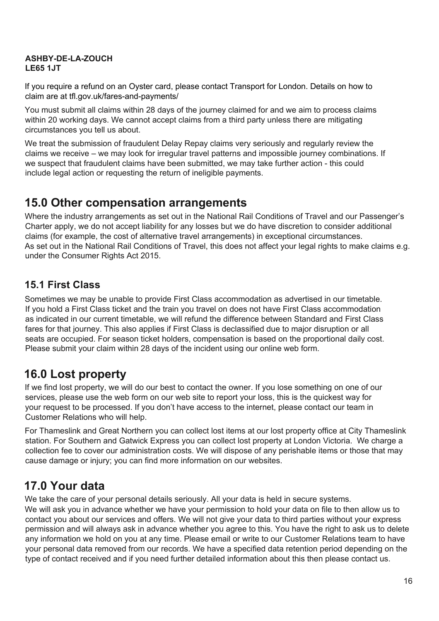#### **ASHBY-DE-LA-ZOUCH LE65 1JT**

If you require a refund on an Oyster card, please contact Transport for London. Details on how to claim are at tfl.gov.uk/fares-and-payments/

You must submit all claims within 28 days of the journey claimed for and we aim to process claims within 20 working days. We cannot accept claims from a third party unless there are mitigating circumstances you tell us about.

We treat the submission of fraudulent Delay Repay claims very seriously and regularly review the claims we receive – we may look for irregular travel patterns and impossible journey combinations. If we suspect that fraudulent claims have been submitted, we may take further action - this could include legal action or requesting the return of ineligible payments.

## **15.0 Other compensation arrangements**

Where the industry arrangements as set out in the National Rail Conditions of Travel and our Passenger's Charter apply, we do not accept liability for any losses but we do have discretion to consider additional claims (for example, the cost of alternative travel arrangements) in exceptional circumstances. As set out in the National Rail Conditions of Travel, this does not affect your legal rights to make claims e.g. under the Consumer Rights Act 2015.

## **15.1 First Class**

Sometimes we may be unable to provide First Class accommodation as advertised in our timetable. If you hold a First Class ticket and the train you travel on does not have First Class accommodation as indicated in our current timetable, we will refund the difference between Standard and First Class fares for that journey. This also applies if First Class is declassified due to major disruption or all seats are occupied. For season ticket holders, compensation is based on the proportional daily cost. Please submit your claim within 28 days of the incident using our online web form.

# **16.0 Lost property**

If we find lost property, we will do our best to contact the owner. If you lose something on one of our services, please use the web form on our web site to report your loss, this is the quickest way for your request to be processed. If you don't have access to the internet, please contact our team in Customer Relations who will help.

For Thameslink and Great Northern you can collect lost items at our lost property office at City Thameslink station. For Southern and Gatwick Express you can collect lost property at London Victoria. We charge a collection fee to cover our administration costs. We will dispose of any perishable items or those that may cause damage or injury; you can find more information on our websites.

# **17.0 Your data**

We take the care of your personal details seriously. All your data is held in secure systems.

We will ask you in advance whether we have your permission to hold your data on file to then allow us to contact you about our services and offers. We will not give your data to third parties without your express permission and will always ask in advance whether you agree to this. You have the right to ask us to delete any information we hold on you at any time. Please email or write to our Customer Relations team to have your personal data removed from our records. We have a specified data retention period depending on the type of contact received and if you need further detailed information about this then please contact us.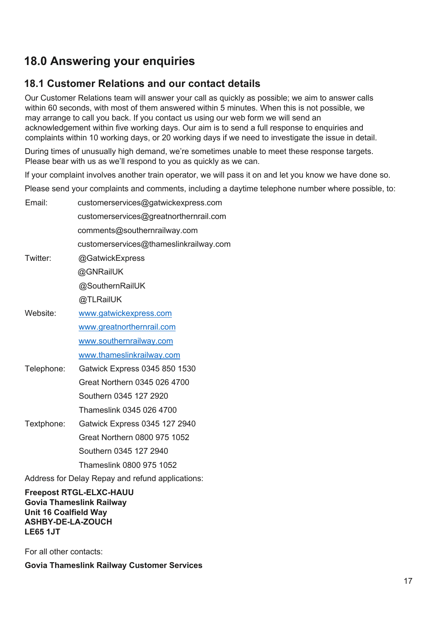# **18.0 Answering your enquiries**

### **18.1 Customer Relations and our contact details**

Our Customer Relations team will answer your call as quickly as possible; we aim to answer calls within 60 seconds, with most of them answered within 5 minutes. When this is not possible, we may arrange to call you back. If you contact us using our web form we will send an acknowledgement within five working days. Our aim is to send a full response to enquiries and complaints within 10 working days, or 20 working days if we need to investigate the issue in detail.

During times of unusually high demand, we're sometimes unable to meet these response targets. Please bear with us as we'll respond to you as quickly as we can.

If your complaint involves another train operator, we will pass it on and let you know we have done so.

Please send your complaints and comments, including a daytime telephone number where possible, to:

| Email:     | customerservices@gatwickexpress.com    |
|------------|----------------------------------------|
|            | customerservices@greatnorthernrail.com |
|            | comments@southernrailway.com           |
|            | customerservices@thameslinkrailway.com |
| Twitter:   | @GatwickExpress                        |
|            | @GNRailUK                              |
|            | @SouthernRailUK                        |
|            | @TLRailUK                              |
| Website:   | www.gatwickexpress.com                 |
|            | www.greatnorthernrail.com              |
|            | www.southernrailway.com                |
|            | www.thameslinkrailway.com              |
| Telephone: | Gatwick Express 0345 850 1530          |
|            | Great Northern 0345 026 4700           |
|            | Southern 0345 127 2920                 |
|            | Thameslink 0345 026 4700               |
| Textphone: | Gatwick Express 0345 127 2940          |
|            | Great Northern 0800 975 1052           |
|            | Southern 0345 127 2940                 |
|            | Thameslink 0800 975 1052               |

Address for Delay Repay and refund applications:

**Freepost RTGL-ELXC-HAUU Govia Thameslink Railway Unit 16 Coalfield Way ASHBY-DE-LA-ZOUCH LE65 1JT** 

For all other contacts:

**Govia Thameslink Railway Customer Services**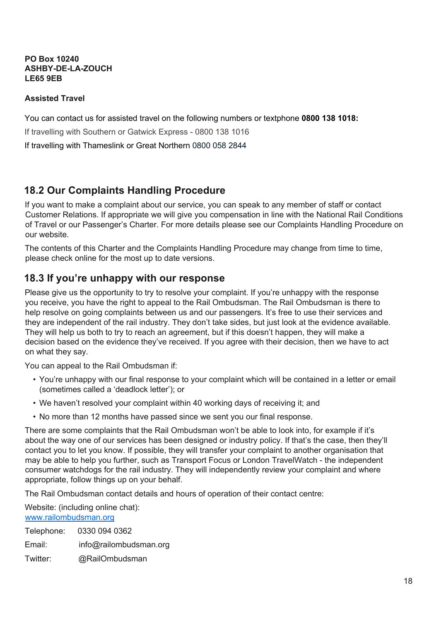**PO Box 10240 ASHBY-DE-LA-ZOUCH LE65 9EB**

#### **Assisted Travel**

You can contact us for assisted travel on the following numbers or textphone **0800 138 1018:**

If travelling with Southern or Gatwick Express - 0800 138 1016

If travelling with Thameslink or Great Northern 0800 058 2844

#### **18.2 Our Complaints Handling Procedure**

If you want to make a complaint about our service, you can speak to any member of staff or contact Customer Relations. If appropriate we will give you compensation in line with the National Rail Conditions of Travel or our Passenger's Charter. For more details please see our Complaints Handling Procedure on our website.

The contents of this Charter and the Complaints Handling Procedure may change from time to time, please check online for the most up to date versions.

#### **18.3 If you're unhappy with our response**

Please give us the opportunity to try to resolve your complaint. If you're unhappy with the response you receive, you have the right to appeal to the Rail Ombudsman. The Rail Ombudsman is there to help resolve on going complaints between us and our passengers. It's free to use their services and they are independent of the rail industry. They don't take sides, but just look at the evidence available. They will help us both to try to reach an agreement, but if this doesn't happen, they will make a decision based on the evidence they've received. If you agree with their decision, then we have to act on what they say.

You can appeal to the Rail Ombudsman if:

- You're unhappy with our final response to your complaint which will be contained in a letter or email (sometimes called a 'deadlock letter'); or
- We haven't resolved your complaint within 40 working days of receiving it; and
- No more than 12 months have passed since we sent you our final response.

There are some complaints that the Rail Ombudsman won't be able to look into, for example if it's about the way one of our services has been designed or industry policy. If that's the case, then they'll contact you to let you know. If possible, they will transfer your complaint to another organisation that may be able to help you further, such as Transport Focus or London TravelWatch - the independent consumer watchdogs for the rail industry. They will independently review your complaint and where appropriate, follow things up on your behalf.

The Rail Ombudsman contact details and hours of operation of their contact centre:

Website: (including online chat): www.railombudsman.org

Telephone: 0330 094 0362 Email: info@railombudsman.org

Twitter: @RailOmbudsman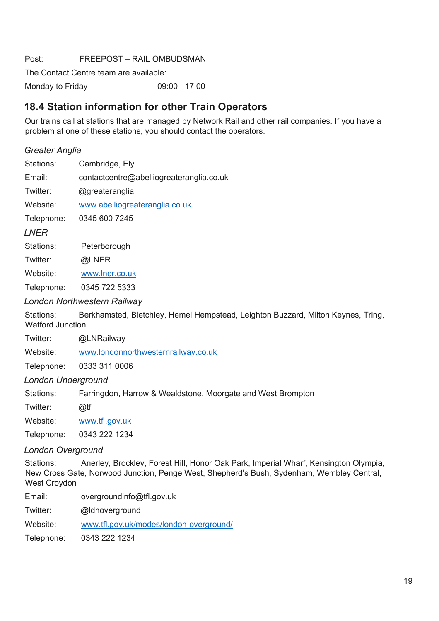Post: FREEPOST – RAIL OMBUDSMAN

The Contact Centre team are available:

Monday to Friday 09:00 - 17:00

#### **18.4 Station information for other Train Operators**

Our trains call at stations that are managed by Network Rail and other rail companies. If you have a problem at one of these stations, you should contact the operators.

#### *Greater Anglia*

| Stations: | Cambridge, Ely |  |
|-----------|----------------|--|
|           |                |  |

Email: contactcentre@abelliogreateranglia.co.uk

Twitter: @greateranglia

Website: www.abelliogreateranglia.co.uk

Telephone: 0345 600 7245

*LNER*

Stations: Peterborough

Twitter: @LNER

Website: www.lner.co.uk

Telephone: 0345 722 5333

#### *London Northwestern Railway*

Stations: Berkhamsted, Bletchley, Hemel Hempstead, Leighton Buzzard, Milton Keynes, Tring, Watford Junction

Twitter: @LNRailway

Website: www.londonnorthwesternrailway.co.uk

Telephone: 0333 311 0006

*London Underground*

Stations: Farringdon, Harrow & Wealdstone, Moorgate and West Brompton

Twitter: @tfl

Website: www.tfl.gov.uk

Telephone: 0343 222 1234

#### *London Overground*

Stations: Anerley, Brockley, Forest Hill, Honor Oak Park, Imperial Wharf, Kensington Olympia, New Cross Gate, Norwood Junction, Penge West, Shepherd's Bush, Sydenham, Wembley Central, West Croydon

Email: overgroundinfo@tfl.gov.uk

Twitter: @ldnoverground

Website: www.tfl.gov.uk/modes/london-overground/

Telephone: 0343 222 1234